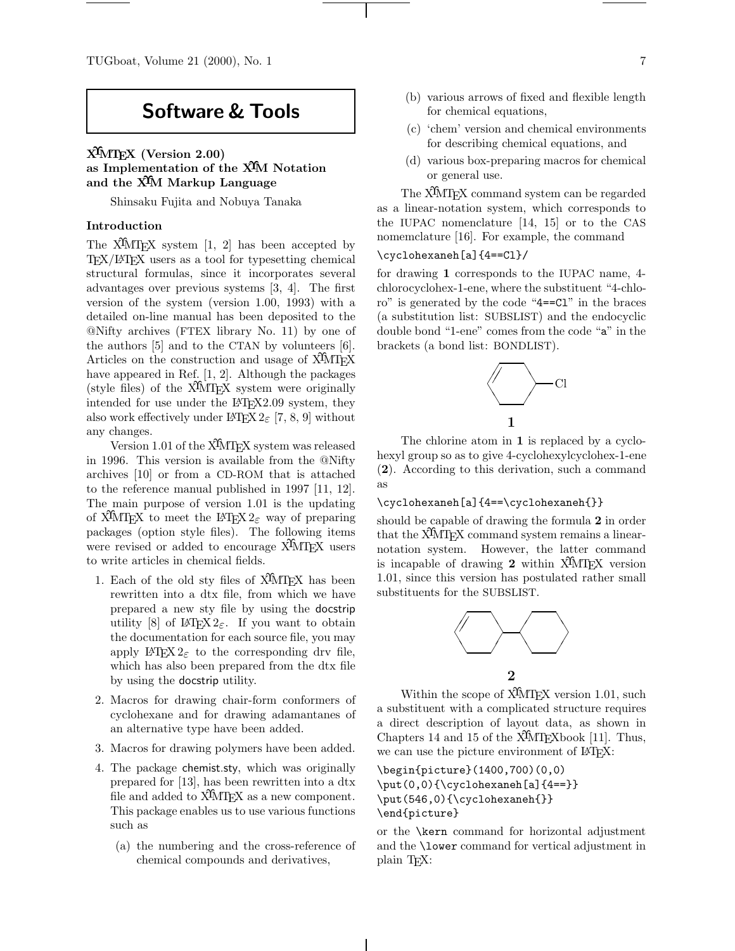# **Software & Tools**

# **XΥMTEX (Version 2.00) as Implementation of the XΥM Notation and the XΥM Markup Language**

Shinsaku Fujita and Nobuya Tanaka

# **Introduction**

The X $\hat{M}$ T<sub>F</sub>X system [1, 2] has been accepted by  $T_{\text{F}}X/\text{MT}_{\text{F}}X$  users as a tool for typesetting chemical structural formulas, since it incorporates several advantages over previous systems [3, 4]. The first version of the system (version 1.00, 1993) with a detailed on-line manual has been deposited to the @Nifty archives (FTEX library No. 11) by one of the authors [5] and to the CTAN by volunteers [6]. Articles on the construction and usage of X<sup>I</sup>MT<sub>EX</sub> have appeared in Ref. [1, 2]. Although the packages (style files) of the  $\widehat{X}$ MTEX system were originally intended for use under the LATEX2.09 system, they also work effectively under  $\text{LATEX } 2\varepsilon$  [7, 8, 9] without any changes.

Version 1.01 of the X<sup>I</sup>MT<sub>E</sub>X system was released in 1996. This version is available from the @Nifty archives [10] or from a CD-ROM that is attached to the reference manual published in 1997 [11, 12]. The main purpose of version 1.01 is the updating of X<sup>I</sup>MTEX to meet the L<sup>AT</sup>EX 2<sub> $\varepsilon$ </sub> way of preparing packages (option style files). The following items were revised or added to encourage X<sup>I</sup>MT<sub>E</sub>X users to write articles in chemical fields.

- 1. Each of the old sty files of X<sup>I</sup>MT<sub>EX</sub> has been rewritten into a dtx file, from which we have prepared a new sty file by using the docstrip utility [8] of LATEX  $2\varepsilon$ . If you want to obtain the documentation for each source file, you may apply LATEX  $2_{\varepsilon}$  to the corresponding drv file, which has also been prepared from the dtx file by using the docstrip utility.
- 2. Macros for drawing chair-form conformers of cyclohexane and for drawing adamantanes of an alternative type have been added.
- 3. Macros for drawing polymers have been added.
- 4. The package chemist.sty, which was originally prepared for [13], has been rewritten into a dtx file and added to  $\widehat{X}^{\widehat{I}}$ MT<sub>E</sub>X as a new component. This package enables us to use various functions such as
	- (a) the numbering and the cross-reference of chemical compounds and derivatives,
- (b) various arrows of fixed and flexible length for chemical equations,
- (c) 'chem' version and chemical environments for describing chemical equations, and
- (d) various box-preparing macros for chemical or general use.

The X<sup>I</sup>MT<sub>E</sub>X command system can be regarded as a linear-notation system, which corresponds to the IUPAC nomenclature [14, 15] or to the CAS nomemclature [16]. For example, the command

# \cyclohexaneh[a]{4==Cl}/

for drawing **1** corresponds to the IUPAC name, 4 chlorocyclohex-1-ene, where the substituent "4-chloro" is generated by the code "4==Cl" in the braces (a substitution list: SUBSLIST) and the endocyclic double bond "1-ene" comes from the code "a" in the brackets (a bond list: BONDLIST).



The chlorine atom in **1** is replaced by a cyclohexyl group so as to give 4-cyclohexylcyclohex-1-ene (**2**). According to this derivation, such a command as

# \cyclohexaneh[a]{4==\cyclohexaneh{}}

should be capable of drawing the formula **2** in order that the  $\hat{X}$ MT<sub>E</sub>X command system remains a linearnotation system. However, the latter command is incapable of drawing **2** within X<sup>I</sup>MT<sub>EX</sub> version 1.01, since this version has postulated rather small substituents for the SUBSLIST.



Within the scope of  $\widehat{X}$ MT<sub>EX</sub> version 1.01, such a substituent with a complicated structure requires a direct description of layout data, as shown in Chapters 14 and 15 of the  $\widehat{X}$ MT<sub>E</sub>Xbook [11]. Thus, we can use the picture environment of  $\text{LATEX}:$ 

\begin{picture}(1400,700)(0,0)  $\put(0,0){\cdots}$ \put(546,0){\cyclohexaneh{}} \end{picture}

or the \kern command for horizontal adjustment and the \lower command for vertical adjustment in plain TEX: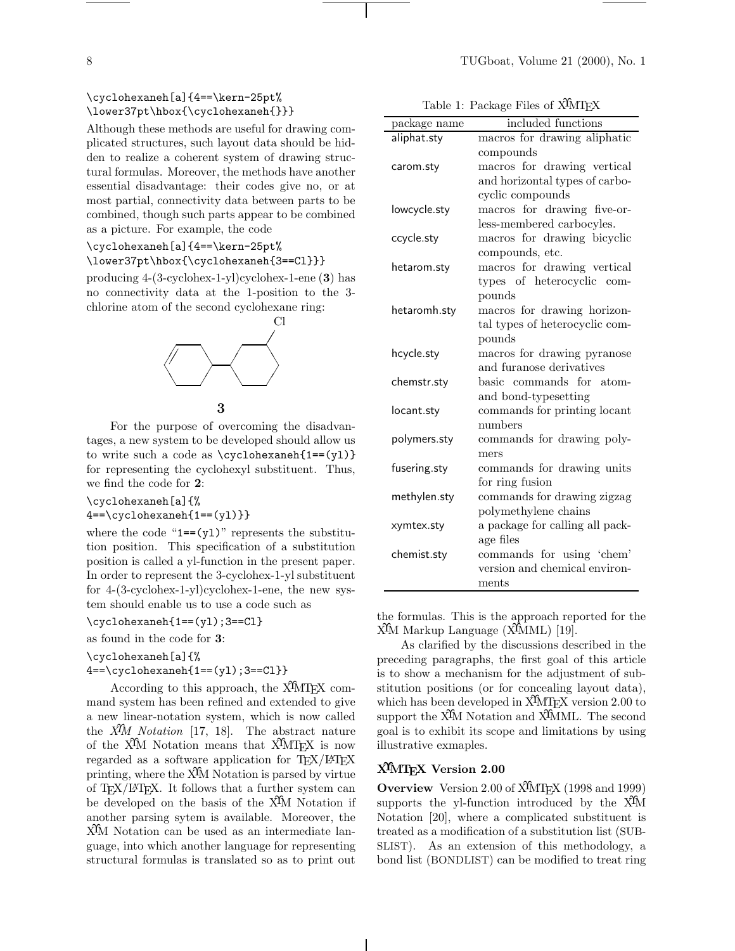Although these methods are useful for drawing complicated structures, such layout data should be hidden to realize a coherent system of drawing structural formulas. Moreover, the methods have another essential disadvantage: their codes give no, or at most partial, connectivity data between parts to be combined, though such parts appear to be combined as a picture. For example, the code

# \cyclohexaneh[a]{4==\kern-25pt% \lower37pt\hbox{\cyclohexaneh{3==Cl}}}

producing 4-(3-cyclohex-1-yl)cyclohex-1-ene (**3**) has no connectivity data at the 1-position to the 3 chlorine atom of the second cyclohexane ring:



**3**

For the purpose of overcoming the disadvantages, a new system to be developed should allow us to write such a code as  $\csc$ cyclohexaneh{1==(yl)} for representing the cyclohexyl substituent. Thus, we find the code for **2**:

\cyclohexaneh[a]{%

4==\cyclohexaneh{1==(yl)}}

where the code " $1 = (y1)$ " represents the substitution position. This specification of a substitution position is called a yl-function in the present paper. In order to represent the 3-cyclohex-1-yl substituent for 4-(3-cyclohex-1-yl)cyclohex-1-ene, the new system should enable us to use a code such as

\cyclohexaneh{1==(yl);3==Cl}

as found in the code for **3**:

\cyclohexaneh[a]{%

 $4 == \cyclohexaneh{1 == (y1)};3 == C1}$ 

According to this approach, the X<sup>I</sup>MT<sub>EX</sub> command system has been refined and extended to give a new linear-notation system, which is now called the *XΥM Notation* [17, 18]. The abstract nature of the X<sup>I</sup>M Notation means that X<sup>I</sup>MT<sub>E</sub>X is now regarded as a software application for TEX/LATEX printing, where the  $\hat{X}$ M Notation is parsed by virtue of TEX/LATEX. It follows that a further system can be developed on the basis of the X<sup>I</sup>M Notation if another parsing sytem is available. Moreover, the XΥM Notation can be used as an intermediate language, into which another language for representing structural formulas is translated so as to print out

| Table 1: Package Files of XIMIFX |                                                            |
|----------------------------------|------------------------------------------------------------|
| package name                     | included functions                                         |
| aliphat.sty                      | macros for drawing aliphatic                               |
|                                  | compounds                                                  |
| carom.sty                        | macros for drawing vertical                                |
|                                  | and horizontal types of carbo-                             |
|                                  | cyclic compounds                                           |
| lowcycle.sty                     | for drawing five-or-<br>macros                             |
|                                  | less-membered carbocyles.                                  |
| ccycle.sty                       | macros for drawing bicyclic                                |
|                                  | compounds, etc.                                            |
| hetarom.sty                      | macros for drawing vertical                                |
|                                  | types of heterocyclic com-                                 |
|                                  | pounds                                                     |
| hetaromh.sty                     | macros for drawing horizon-                                |
|                                  | tal types of heterocyclic com-                             |
|                                  | pounds                                                     |
| hcycle.sty                       | macros for drawing pyranose                                |
|                                  | and furanose derivatives                                   |
| chemstr.sty                      | basic commands for atom-                                   |
|                                  | and bond-typesetting                                       |
| locant.sty                       | commands for printing locant                               |
|                                  | numbers                                                    |
| polymers.sty                     | commands for drawing poly-                                 |
|                                  | mers                                                       |
| fusering.sty                     | commands for drawing units                                 |
|                                  | for ring fusion                                            |
| methylen.sty                     | commands for drawing zigzag                                |
|                                  | polymethylene chains                                       |
| xymtex.sty                       | a package for calling all pack-                            |
|                                  | age files                                                  |
| chemist.sty                      | commands for using 'chem'<br>version and chemical environ- |
|                                  | ments                                                      |
|                                  |                                                            |
|                                  |                                                            |

the formulas. This is the approach reported for the X<sup>I</sup>M Markup Language (X<sup>I</sup>MML) [19].

As clarified by the discussions described in the preceding paragraphs, the first goal of this article is to show a mechanism for the adjustment of substitution positions (or for concealing layout data), which has been developed in  $\hat{X}^{\hat{\imath}}$  (VITEX version 2.00 to support the X<sup>I</sup>M Notation and X<sup>I</sup>MML. The second goal is to exhibit its scope and limitations by using illustrative exmaples.

# **XΥMTEX Version 2.00**

**Overview** Version 2.00 of X<sup>I</sup>MT<sub>F</sub>X (1998 and 1999) supports the yl-function introduced by the X<sup>I</sup>M Notation [20], where a complicated substituent is treated as a modification of a substitution list (SUB-SLIST). As an extension of this methodology, a bond list (BONDLIST) can be modified to treat ring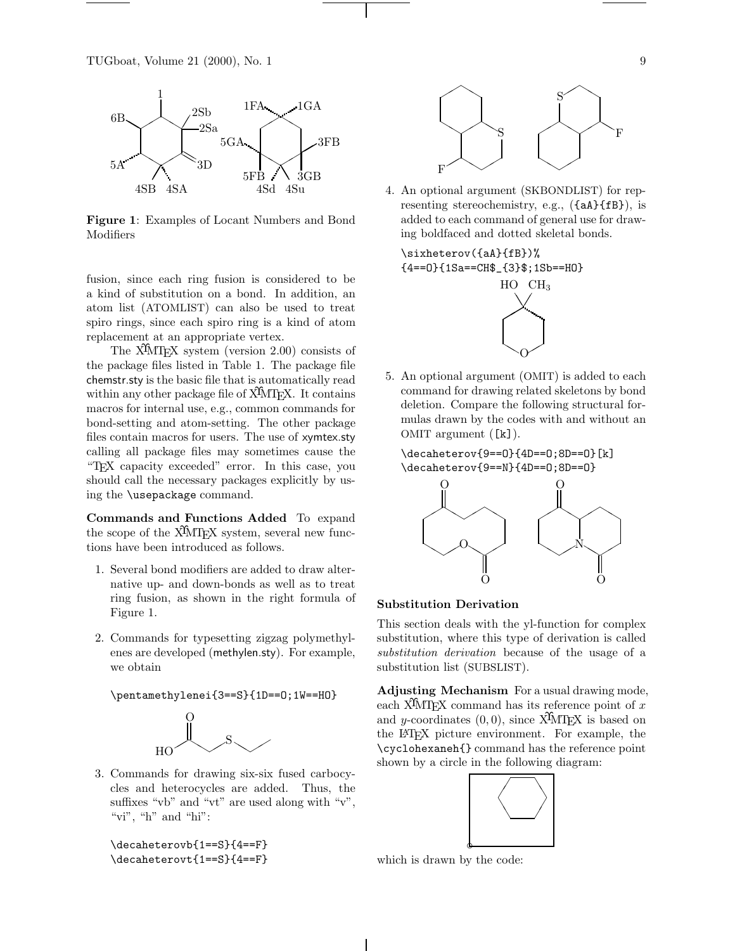

**Figure 1**: Examples of Locant Numbers and Bond Modifiers

fusion, since each ring fusion is considered to be a kind of substitution on a bond. In addition, an atom list (ATOMLIST) can also be used to treat spiro rings, since each spiro ring is a kind of atom replacement at an appropriate vertex.

The X<sup>I</sup>MT<sub>E</sub>X system (version 2.00) consists of the package files listed in Table 1. The package file chemstr.sty is the basic file that is automatically read within any other package file of  $\widehat{X}$ MT<sub>E</sub>X. It contains macros for internal use, e.g., common commands for bond-setting and atom-setting. The other package files contain macros for users. The use of xymtex.sty calling all package files may sometimes cause the "TEX capacity exceeded" error. In this case, you should call the necessary packages explicitly by using the \usepackage command.

**Commands and Functions Added** To expand the scope of the X<sup>I</sup>MT<sub>EX</sub> system, several new functions have been introduced as follows.

- 1. Several bond modifiers are added to draw alternative up- and down-bonds as well as to treat ring fusion, as shown in the right formula of Figure 1.
- 2. Commands for typesetting zigzag polymethylenes are developed (methylen.sty). For example, we obtain

\pentamethylenei{3==S}{1D==O;1W==HO}



3. Commands for drawing six-six fused carbocycles and heterocycles are added. Thus, the suffixes "vb" and "vt" are used along with "v", "vi", "h" and "hi":

\decaheterovb{1==S}{4==F} \decaheterovt{1==S}{4==F}



4. An optional argument (SKBONDLIST) for representing stereochemistry, e.g., ({aA}{fB}), is added to each command of general use for drawing boldfaced and dotted skeletal bonds.

\sixheterov({aA}{fB})% {4==O}{1Sa==CH\$\_{3}\$;1Sb==HO}



5. An optional argument (OMIT) is added to each command for drawing related skeletons by bond deletion. Compare the following structural formulas drawn by the codes with and without an OMIT argument ([k]).

# \decaheterov{9==O}{4D==O;8D==O}[k] \decaheterov{9==N}{4D==O;8D==O}



#### **Substitution Derivation**

This section deals with the yl-function for complex substitution, where this type of derivation is called *substitution derivation* because of the usage of a substitution list (SUBSLIST).

**Adjusting Mechanism** For a usual drawing mode, each X<sup>I</sup>MT<sub>EX</sub> command has its reference point of x and y-coordinates  $(0, 0)$ , since X<sup>T</sup>MT<sub>E</sub>X is based on the L<sup>A</sup>T<sub>E</sub>X picture environment. For example, the \cyclohexaneh{} command has the reference point shown by a circle in the following diagram:

![](_page_2_Figure_21.jpeg)

which is drawn by the code: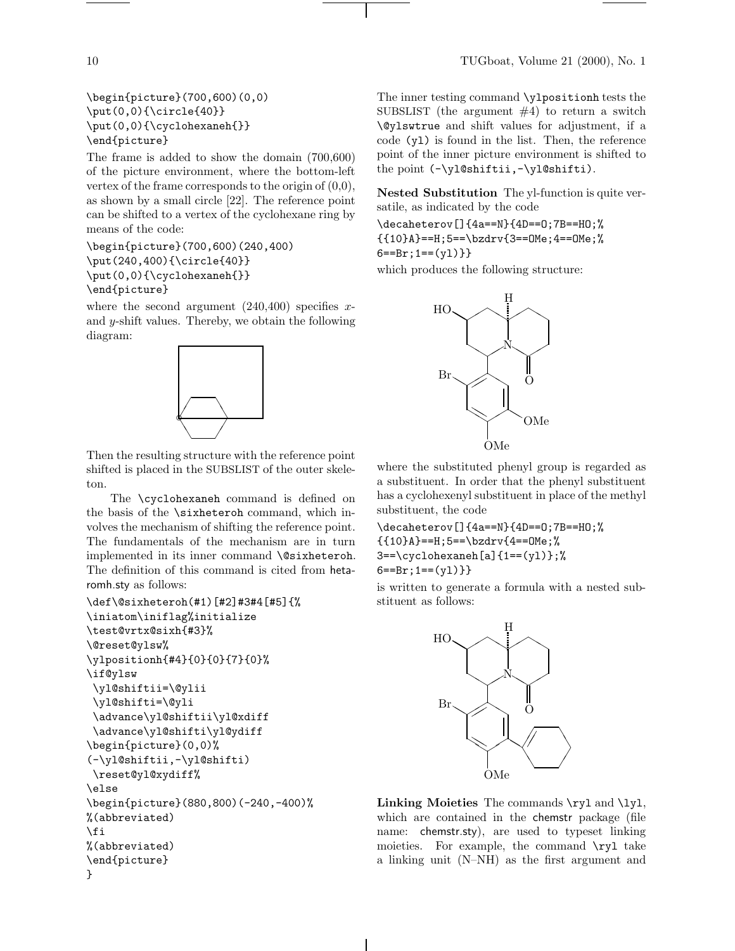\begin{picture}(700,600)(0,0) \put(0,0){\circle{40}} \put(0,0){\cyclohexaneh{}} \end{picture}

The frame is added to show the domain (700,600) of the picture environment, where the bottom-left vertex of the frame corresponds to the origin of  $(0,0)$ , as shown by a small circle [22]. The reference point can be shifted to a vertex of the cyclohexane ring by means of the code:

\begin{picture}(700,600)(240,400) \put(240,400){\circle{40}} \put(0,0){\cyclohexaneh{}} \end{picture}

where the second argument  $(240, 400)$  specifies xand y-shift values. Thereby, we obtain the following diagram:

![](_page_3_Figure_5.jpeg)

Then the resulting structure with the reference point shifted is placed in the SUBSLIST of the outer skeleton.

The \cyclohexaneh command is defined on the basis of the \sixheteroh command, which involves the mechanism of shifting the reference point. The fundamentals of the mechanism are in turn implemented in its inner command \@sixheteroh. The definition of this command is cited from hetaromh.sty as follows:

```
\def\@sixheteroh(#1)[#2]#3#4[#5]{%
\iniatom\iniflag%initialize
\test@vrtx@sixh{#3}%
\@reset@ylsw%
\ylpositionh{#4}{0}{0}{7}{0}%
\if@ylsw
 \yl@shiftii=\@ylii
 \yl@shifti=\@yli
 \advance\yl@shiftii\yl@xdiff
 \advance\yl@shifti\yl@ydiff
\begin{picture}(0,0)%
(-\yl@shiftii,-\yl@shifti)
\reset@yl@xydiff%
\else
\begin{picture}(880,800)(-240,-400)%
%(abbreviated)
\fi
%(abbreviated)
\end{picture}
}
```
The inner testing command \ylpositionh tests the SUBSLIST (the argument #4) to return a switch \@ylswtrue and shift values for adjustment, if a code (yl) is found in the list. Then, the reference point of the inner picture environment is shifted to the point (-\yl@shiftii,-\yl@shifti).

**Nested Substitution** The yl-function is quite versatile, as indicated by the code

\decaheterov[]{4a==N}{4D==O;7B==HO;% {{10}A}==H;5==\bzdrv{3==OMe;4==OMe;%  $6 == Br$ ; 1==(y1) } }

which produces the following structure:

![](_page_3_Figure_13.jpeg)

where the substituted phenyl group is regarded as a substituent. In order that the phenyl substituent has a cyclohexenyl substituent in place of the methyl substituent, the code

\decaheterov[]{4a==N}{4D==O;7B==HO;% {{10}A}==H;5==\bzdrv{4==OMe;%  $3 == \cyclohexaneh[a]{1 == (y1)}$ ;%  $6 == Br; 1 == (v1)$ }

is written to generate a formula with a nested substituent as follows:

![](_page_3_Figure_17.jpeg)

Linking Moieties The commands \ryl and \lyl, which are contained in the chemstr package (file name: chemstr.sty), are used to typeset linking moieties. For example, the command  $\ryl$  take a linking unit (N–NH) as the first argument and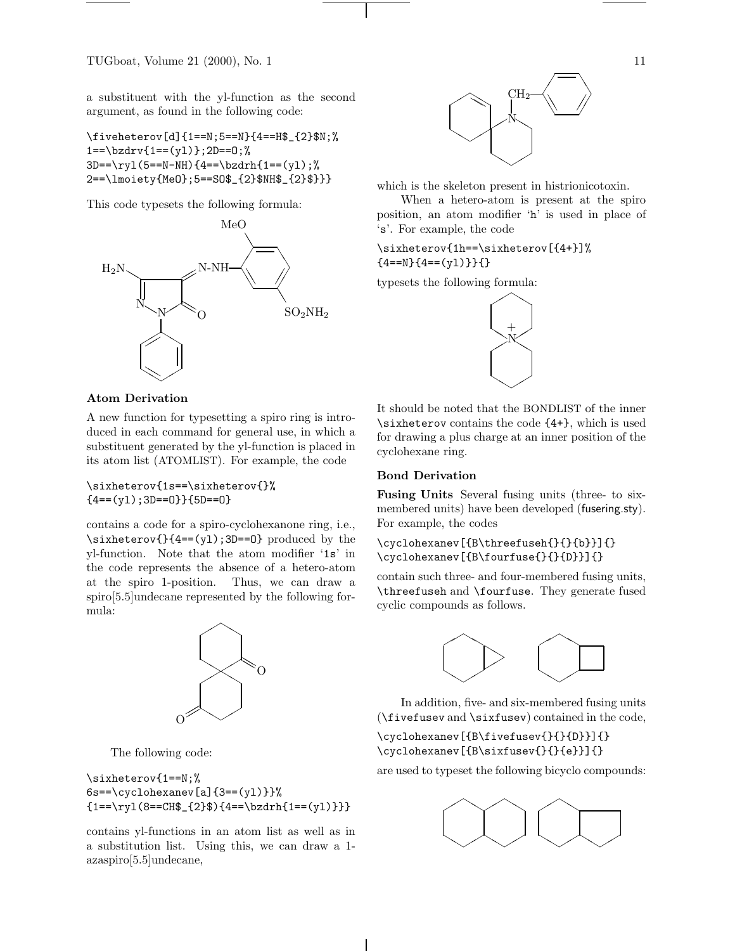TUGboat, Volume 21 (2000), No. 1  $11$ 

a substituent with the yl-function as the second argument, as found in the following code:

\fiveheterov[d]{1==N;5==N}{4==H\$\_{2}\$N;%  $1 == \text{bzdrv}$ { $1 == (y1)$ };2D==0;%  $3D==\ryl(5==N-NH){4==\bzdrh{1==(y1)};$ 2==\lmoiety{MeO};5==SO\$\_{2}\$NH\$\_{2}\$}}}

This code typesets the following formula:

![](_page_4_Figure_4.jpeg)

![](_page_4_Figure_5.jpeg)

which is the skeleton present in histrionicotoxin.

When a hetero-atom is present at the spiro position, an atom modifier 'h' is used in place of 's'. For example, the code

\sixheterov{1h==\sixheterov[{4+}]%  ${4 == N}{4 == (y1)}$ 

typesets the following formula:

![](_page_4_Picture_10.jpeg)

#### **Atom Derivation**

A new function for typesetting a spiro ring is introduced in each command for general use, in which a substituent generated by the yl-function is placed in its atom list (ATOMLIST). For example, the code

\sixheterov{1s==\sixheterov{}%  ${4 = (y1); 3D == 0}$  {5D==0}

contains a code for a spiro-cyclohexanone ring, i.e., \sixheterov{}{4==(yl);3D==O} produced by the yl-function. Note that the atom modifier '1s' in the code represents the absence of a hetero-atom at the spiro 1-position. Thus, we can draw a spiro[5.5]undecane represented by the following formula:

![](_page_4_Figure_15.jpeg)

The following code:

# \sixheterov{1==N;%  $6s==\cyclohexanev[a]{3==}(y1)}$  ${1=-\ryl(8=-CH$_{2}$) {4=-\bzdrh{1==(y1)}}}$

contains yl-functions in an atom list as well as in a substitution list. Using this, we can draw a 1 azaspiro[5.5]undecane,

It should be noted that the BONDLIST of the inner \sixheterov contains the code {4+}, which is used for drawing a plus charge at an inner position of the cyclohexane ring.

# **Bond Derivation**

**Fusing Units** Several fusing units (three- to sixmembered units) have been developed (fusering.sty). For example, the codes

\cyclohexanev[{B\threefuseh{}{}{b}}]{} \cyclohexanev[{B\fourfuse{}{}{D}}]{}

contain such three- and four-membered fusing units, \threefuseh and \fourfuse. They generate fused cyclic compounds as follows.

![](_page_4_Picture_24.jpeg)

In addition, five- and six-membered fusing units (\fivefusev and \sixfusev) contained in the code,

\cyclohexanev[{B\fivefusev{}{}{D}}]{} \cyclohexanev[{B\sixfusev{}{}{e}}]{}

are used to typeset the following bicyclo compounds:

![](_page_4_Picture_28.jpeg)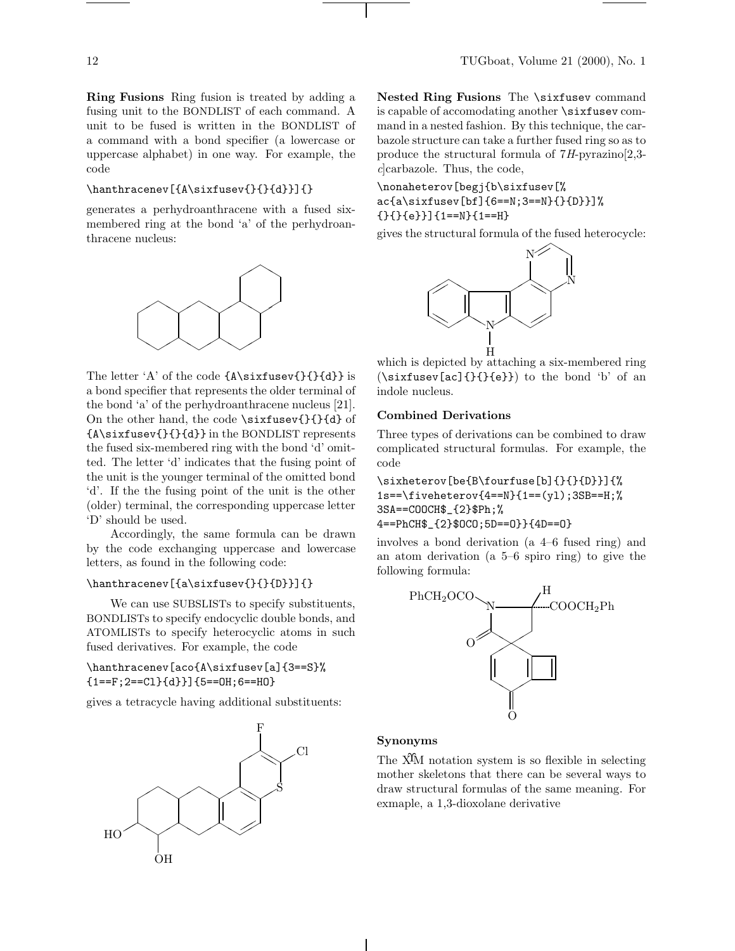**Ring Fusions** Ring fusion is treated by adding a fusing unit to the BONDLIST of each command. A unit to be fused is written in the BONDLIST of a command with a bond specifier (a lowercase or uppercase alphabet) in one way. For example, the code

#### \hanthracenev[{A\sixfusev{}{}{d}}]{}

generates a perhydroanthracene with a fused sixmembered ring at the bond 'a' of the perhydroanthracene nucleus:

![](_page_5_Figure_4.jpeg)

The letter 'A' of the code {A\sixfusev{}{}{d}} is a bond specifier that represents the older terminal of the bond 'a' of the perhydroanthracene nucleus [21]. On the other hand, the code \sixfusev{}{}{d} of {A\sixfusev{}{}{d}} in the BONDLIST represents the fused six-membered ring with the bond 'd' omitted. The letter 'd' indicates that the fusing point of the unit is the younger terminal of the omitted bond 'd'. If the the fusing point of the unit is the other (older) terminal, the corresponding uppercase letter 'D' should be used.

Accordingly, the same formula can be drawn by the code exchanging uppercase and lowercase letters, as found in the following code:

### \hanthracenev[{a\sixfusev{}{}{D}}]{}

We can use SUBSLISTs to specify substituents, BONDLISTs to specify endocyclic double bonds, and ATOMLISTs to specify heterocyclic atoms in such fused derivatives. For example, the code

# \hanthracenev[aco{A\sixfusev[a]{3==S}%  ${1==F; 2==C1}{d}$ ]  ${5==OH; 6==HO}$

gives a tetracycle having additional substituents:

![](_page_5_Figure_11.jpeg)

**Nested Ring Fusions** The \sixfusev command is capable of accomodating another \sixfusev command in a nested fashion. By this technique, the carbazole structure can take a further fused ring so as to produce the structural formula of 7*H*-pyrazino[2,3 *c*]carbazole. Thus, the code,

\nonaheterov[begj{b\sixfusev[% ac{a\sixfusev[bf]{6==N;3==N}{}{D}}]% {}{}{e}}]{1==N}{1==H}

gives the structural formula of the fused heterocycle:

![](_page_5_Figure_15.jpeg)

which is depicted by attaching a six-membered ring (\sixfusev[ac]{}{}{e}}) to the bond 'b' of an indole nucleus.

# **Combined Derivations**

Three types of derivations can be combined to draw complicated structural formulas. For example, the code

\sixheterov[be{B\fourfuse[b]{}{}{D}}]{%  $1s==\ifmmode{\textrm{i}}\else{$ 1s== $\ifmmode{\textrm{i}}\else{$  htmlf =  $\fi\fi\$  1s== $\ifmmode{\textrm{i}}\else{$  htmlf =  $\fi\fi\$  1s== $\ifmmode{\textrm{i}}\else{$  htmlf =  $\fi\fi\$ 3SA==COOCH\$\_{2}\$Ph;% 4==PhCH\$\_{2}\$OCO;5D==O}}{4D==O}

involves a bond derivation (a 4–6 fused ring) and an atom derivation (a 5–6 spiro ring) to give the following formula:

![](_page_5_Figure_22.jpeg)

#### **Synonyms**

The X<sup>I</sup>M notation system is so flexible in selecting mother skeletons that there can be several ways to draw structural formulas of the same meaning. For exmaple, a 1,3-dioxolane derivative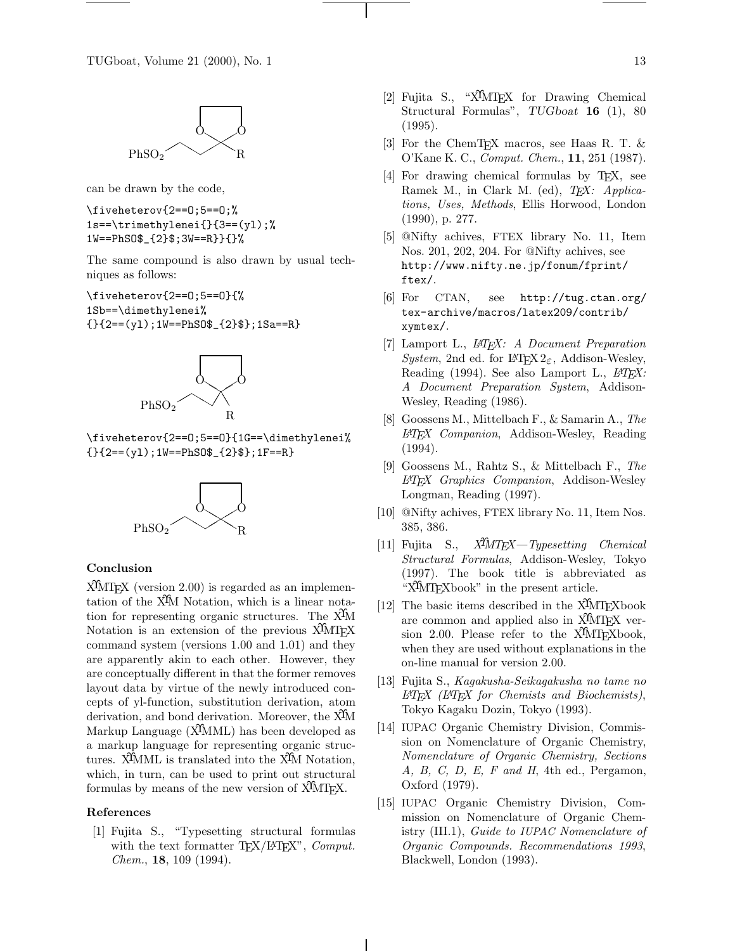![](_page_6_Figure_1.jpeg)

can be drawn by the code,

\fiveheterov{2==O;5==O;% 1s==\trimethylenei{}{3==(yl);% 1W==PhSO\$\_{2}\$;3W==R}}{}%

The same compound is also drawn by usual techniques as follows:

\fiveheterov{2==O;5==O}{% 1Sb==\dimethylenei%  ${\{\}}2==(y1);1W==PhS0$_{1}2$;1Sa==R}$ 

![](_page_6_Figure_6.jpeg)

\fiveheterov{2==O;5==O}{1G==\dimethylenei%  ${\{\}}2==(y1);1W==PhS0$_{1}2$;1F==R}$ 

![](_page_6_Picture_8.jpeg)

### **Conclusion**

XΥMTEX(version 2.00) is regarded as an implementation of the XΥM Notation, which is a linear notation for representing organic structures. The XΥM Notation is an extension of the previous X<sup>I</sup>MT<sub>EX</sub> command system (versions 1.00 and 1.01) and they are apparently akin to each other. However, they are conceptually different in that the former removes layout data by virtue of the newly introduced concepts of yl-function, substitution derivation, atom derivation, and bond derivation. Moreover, the X<sup>I</sup>M Markup Language (X<sup>I</sup>MML) has been developed as a markup language for representing organic structures. X<sup>T</sup>MML is translated into the X<sup>T</sup>M Notation, which, in turn, can be used to print out structural formulas by means of the new version of  $\widehat{X}$ MTFX.

# **References**

[1] Fujita S., "Typesetting structural formulas with the text formatter T<sub>E</sub>X/L<sup>AT</sup>EX<sup>"</sup>, *Comput. Chem.*, **18**, 109 (1994).

- [2] Fujita S., "X $\hat{M}$ T<sub>F</sub>X for Drawing Chemical Structural Formulas", *TUGboat* **16** (1), 80 (1995).
- [3] For the ChemTEX macros, see Haas R. T. & O'Kane K. C., *Comput. Chem.*, **11**, 251 (1987).
- [4] For drawing chemical formulas by T<sub>E</sub>X, see Ramek M., in Clark M. (ed), *TEX: Applications, Uses, Methods*, Ellis Horwood, London (1990), p. 277.
- [5] @Nifty achives, FTEX library No. 11, Item Nos. 201, 202, 204. For @Nifty achives, see http://www.nifty.ne.jp/fonum/fprint/ ftex/.
- [6] For CTAN, see http://tug.ctan.org/ tex-archive/macros/latex209/contrib/ xymtex/.
- [7] Lamport L., *LATEX: A Document Preparation System*, 2nd ed. for LAT<sub>E</sub>X 2<sub> $\epsilon$ </sub>, Addison-Wesley, Reading (1994). See also Lamport L., *LATEX: A Document Preparation System*, Addison-Wesley, Reading (1986).
- [8] Goossens M., Mittelbach F., & Samarin A., *The LATEX Companion*, Addison-Wesley, Reading (1994).
- [9] Goossens M., Rahtz S., & Mittelbach F., *The LATEX Graphics Companion*, Addison-Wesley Longman, Reading (1997).
- [10] @Nifty achives, FTEX library No. 11, Item Nos. 385, 386.
- [11] Fujita S., *XΥMTEX—Typesetting Chemical Structural Formulas*, Addison-Wesley, Tokyo (1997). The book title is abbreviated as "X<sup>T</sup>MT<sub>E</sub>Xbook" in the present article.
- [12] The basic items described in the  $\widehat{X}$ MT<sub>E</sub>Xbook are common and applied also in  $\widehat{X}$ MT<sub>EX</sub> version 2.00. Please refer to the  $\widehat{X}$ MTFXbook, when they are used without explanations in the on-line manual for version 2.00.
- [13] Fujita S., *Kagakusha-Seikagakusha no tame no LATEX (LATEX for Chemists and Biochemists)*, Tokyo Kagaku Dozin, Tokyo (1993).
- [14] IUPAC Organic Chemistry Division, Commission on Nomenclature of Organic Chemistry, *Nomenclature of Organic Chemistry, Sections A, B, C, D, E, F and H*, 4th ed., Pergamon, Oxford (1979).
- [15] IUPAC Organic Chemistry Division, Commission on Nomenclature of Organic Chemistry (III.1), *Guide to IUPAC Nomenclature of Organic Compounds. Recommendations 1993*, Blackwell, London (1993).